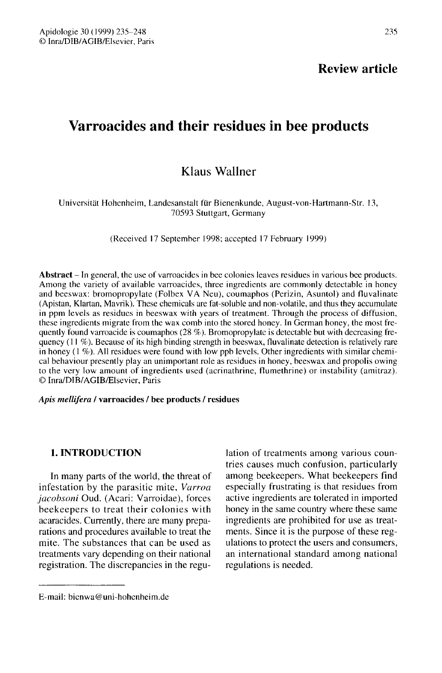## Review article

# Varroacides and their residues in bee products

## Klaus Wallner

## Universität Hohenheim, Landesanstalt für Bienenkunde, August-von-Hartmann-Str. 13, 70593 Stuttgart, Germany

(Received 17 September 1998; accepted 17 February 1999)

Abstract - In general, the use of varroacides in bee colonies leaves residues in various bee products. Among the variety of available varroacides, three ingredients are commonly detectable in honey and beeswax: bromopropylate (Folbex VA Neu), coumaphos (Perizin, Asuntol) and fluvalinate (Apistan, Klartan, Mavrik). These chemicals are fat-soluble and non-volatile, and thus they accumulate in ppm levels as residues in beeswax with years of treatment. Through the process of diffusion, these ingredients migrate from the wax comb into the stored honey. In German honey, the most frequently found varroacide is coumaphos (28 %). Bromopropylate is detectable but with decreasing frequency (11 %). Because of its high binding strength in beeswax, fluvalinate detection is relatively rare in honey (1 %). All residues were found with low ppb levels. Other ingredients with similar chemical behaviour presently play an unimportant role as residues in honey, beeswax and propolis owing to the very low amount of ingredients used (acrinathrine, flumethrine) or instability (amitraz). © Inra/DIB/AGIB/Elsevier, Paris

#### Apis mellifera / varroacides / bee products / residues

## 1. INTRODUCTION

In many parts of the world, the threat of infestation by the parasitic mite, Varroa jacobsoni Oud. (Acari: Varroidae), forces beekeepers to treat their colonies with acaracides. Currently, there are many preparations and procedures available to treat the mite. The substances that can be used as treatments vary depending on their national registration. The discrepancies in the regulation of treatments among various countries causes much confusion, particularly among beekeepers. What beekeepers find especially frustrating is that residues from active ingredients are tolerated in imported honey in the same country where these same ingredients are prohibited for use as treatments. Since it is the purpose of these regulations to protect the users and consumers, an international standard among national regulations is needed.

E-mail: bienwa@uni-hohcnheim.de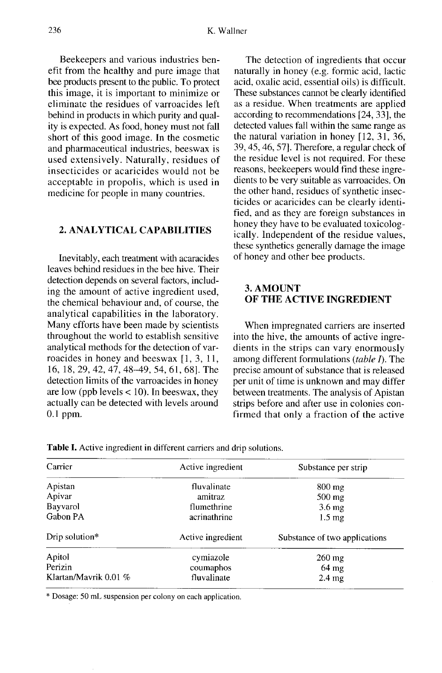Beekeepers and various industries benefit from the healthy and pure image that bee products present to the public. To protect this image, it is important to minimize or eliminate the residues of varroacides left behind in products in which purity and quality is expected. As food, honey must not fall short of this good image. In the cosmetic and pharmaceutical industries, beeswax is used extensively. Naturally, residues of insecticides or acaricides would not be acceptable in propolis, which is used in medicine for people in many countries.

## 2. ANALYTICAL CAPABILITIES

Inevitably, each treatment with acaracides leaves behind residues in the bee hive. Their detection depends on several factors, including the amount of active ingredient used, the chemical behaviour and, of course, the analytical capabilities in the laboratory. Many efforts have been made by scientists throughout the world to establish sensitive analytical methods for the detection of varroacides in honey and beeswax [1, 3, 11, 16, 18, 29, 42, 47, 48-49, 54, 61, 68]. The detection limits of the varroacides in honey are low (ppb levels  $< 10$ ). In beeswax, they actually can be detected with levels around 0.1 ppm.

The detection of ingredients that occur naturally in honey (e.g. formic acid, lactic acid, oxalic acid, essential oils) is difficult. These substances cannot be clearly identified as a residue. When treatments are applied according to recommendations [24, 33], the detected values fall within the same range as the natural variation in honey [12, 31, 36, 39, 45, 46, 57]. Therefore, a regular check of the residue level is not required. For these reasons, beekeepers would find these ingredients to be very suitable as varroacides. On the other hand, residues of synthetic insecticides or acaricides can be clearly identified, and as they are foreign substances in honey they have to be evaluated toxicologically. Independent of the residue values, these synthetics generally damage the image of honey and other bee products.

## 3. AMOUNT OF THE ACTIVE INGREDIENT

When impregnated carriers are inserted into the hive, the amounts of active ingredients in the strips can vary enormously among different formulations (table I). The precise amount of substance that is released per unit of time is unknown and may differ between treatments. The analysis of Apistan strips before and after use in colonies confirmed that only a fraction of the active

| Carrier                 | Active ingredient | Substance per strip           |  |  |
|-------------------------|-------------------|-------------------------------|--|--|
| Apistan                 | fluvalinate       | $800 \text{ mg}$              |  |  |
| Apivar                  | amitraz           | $500 \text{ mg}$              |  |  |
| Bayvarol                | flumethrine       | $3.6 \text{ mg}$              |  |  |
| Gabon PA                | acrinathrine      | $1.5 \text{ mg}$              |  |  |
| Drip solution*          | Active ingredient | Substance of two applications |  |  |
| Apitol                  | cymiazole         | $260$ mg                      |  |  |
| Perizin                 | coumaphos         | $64 \text{ mg}$               |  |  |
| Klartan/Mavrik 0.01 $%$ | fluvalinate       | $2.4 \text{ mg}$              |  |  |

Table I. Active ingredient in different carriers and drip solutions.

\* Dosage: 50 mL suspension per colony on each application.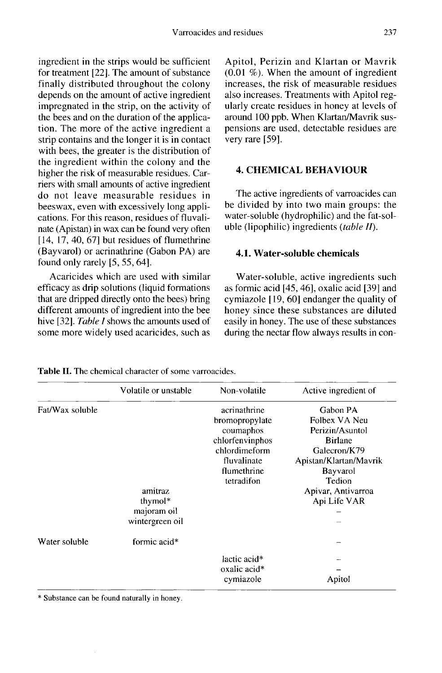ingredient in the strips would be sufficient for treatment [22]. The amount of substance finally distributed throughout the colony depends on the amount of active ingredient impregnated in the strip, on the activity of the bees and on the duration of the application. The more of the active ingredient a strip contains and the longer it is in contact with bees, the greater is the distribution of the ingredient within the colony and the higher the risk of measurable residues. Carriers with small amounts of active ingredient do not leave measurable residues in beeswax, even with excessively long applications. For this reason, residues of fluvalinate (Apistan) in wax can be found very often [14, 17, 40, 67] but residues of flumethrine (Bayvarol) or acrinathrine (Gabon PA) are found only rarely [5, 55, 64].

Acaricides which are used with similar efficacy as drip solutions (liquid formations that are dripped directly onto the bees) bring different amounts of ingredient into the bee hive [32]. Table I shows the amounts used of some more widely used acaricides, such as

Apitol, Perizin and Klartan or Mavrik (0.01 %). When the amount of ingredient increases, the risk of measurable residues also increases. Treatments with Apitol regularly create residues in honey at levels of around 100 ppb. When Klartan/Mavrik suspensions are used, detectable residues are very rare [59].

## 4. CHEMICAL BEHAVIOUR

The active ingredients of varroacides can be divided by into two main groups: the water-soluble (hydrophilic) and the fat-soluble (lipophilic) ingredients (table II).

## 4.1. Water-soluble chemicals

Water-soluble, active ingredients such as formic acid [45, 46], oxalic acid [39] and cymiazole [ 19, 60] endanger the quality of honey since these substances are diluted easily in honey. The use of these substances during the nectar flow always results in con-

Volatile or unstable Non-volatile Active ingredient of Fat/Wax soluble acrinathrine Gabon PA bromopropylate Folbex VA Neu coumaphos Perizin/Asuntol chlorfenvinphos **Birlane** chlordimeform Galecron/K79 Apistan/Klartan/Mavrik fluvalinate flumethrine Bayvarol tetradifon Tedion amitraz Apivar, Antivarroa thymol\* Api Life VAR majoram oil wintergreen oil Water soluble formic acid\* lactic acid\* oxalic acid\* cymiazole Apitol

Table II. The chemical character of some varroacides.

\* Substance can be found naturally in honey.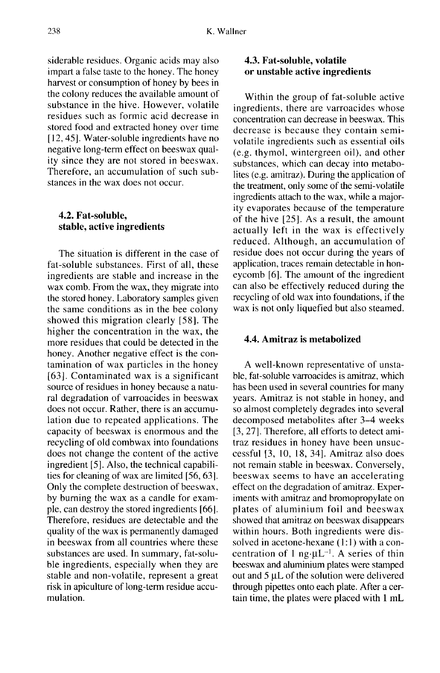siderable residues. Organic acids may also impart a false taste to the honey. The honey harvest or consumption of honey by bees in the colony reduces the available amount of substance in the hive. However, volatile residues such as formic acid decrease in stored food and extracted honey over time [12, 45]. Water-soluble ingredients have no negative long-term effect on beeswax quality since they are not stored in beeswax. Therefore, an accumulation of such substances in the wax does not occur.

#### 4.2. Fat-soluble, stable, active ingredients

The situation is different in the case of fat-soluble substances. First of all, these ingredients are stable and increase in the wax comb. From the wax, they migrate into the stored honey. Laboratory samples given the same conditions as in the bee colony showed this migration clearly [58]. The higher the concentration in the wax, the more residues that could be detected in the honey. Another negative effect is the contamination of wax particles in the honey [63]. Contaminated wax is a significant source of residues in honey because a natural degradation of varroacides in beeswax does not occur. Rather, there is an accumulation due to repeated applications. The capacity of beeswax is enormous and the recycling of old combwax into foundations does not change the content of the active ingredient [5]. Also, the technical capabilities for cleaning of wax are limited [56, 63]. Only the complete destruction of beeswax, by burning the wax as a candle for example, can destroy the stored ingredients [66]. Therefore, residues are detectable and the quality of the wax is permanently damaged in beeswax from all countries where these substances are used. In summary, fat-soluble ingredients, especially when they are stable and non-volatile, represent a great risk in apiculture of long-term residue accumulation.

## 4.3. Fat-soluble, volatile or unstable active ingredients

Within the group of fat-soluble active ingredients, there are varroacides whose concentration can decrease in beeswax. This decrease is because they contain semivolatile ingredients such as essential oils (e.g. thymol, wintergreen oil), and other substances, which can decay into metabolites (e.g. amitraz). During the application of the treatment, only some of the semi-volatile ingredients attach to the wax, while a majority evaporates because of the temperature of the hive [25]. As a result, the amount actually left in the wax is effectively reduced. Although, an accumulation of residue does not occur during the years of application, traces remain detectable in honeycomb [6]. The amount of the ingredient can also be effectively reduced during the recycling of old wax into foundations, if the wax is not only liquefied but also steamed.

#### 4.4. Amitraz is metabolized

A well-known representative of unstable, fat-soluble varroacides is amitraz, which has been used in several countries for many years. Amitraz is not stable in honey, and so almost completely degrades into several decomposed metabolites after 3-4 weeks [3, 27]. Therefore, all efforts to detect amitraz residues in honey have been unsuccessful [3, 10, 18, 34]. Amitraz also does not remain stable in beeswax. Conversely, beeswax seems to have an accelerating effect on the degradation of amitraz. Experiments with amitraz and bromopropylate on plates of aluminium foil and beeswax showed that amitraz on beeswax disappears within hours. Both ingredients were dissolved in acetone-hexane (1:1) with a concentration of 1 ng· $\mu L^{-1}$ . A series of thin beeswax and aluminium plates were stamped out and 5 μL of the solution were delivered through pipettes onto each plate. After a certain time, the plates were placed with 1 mL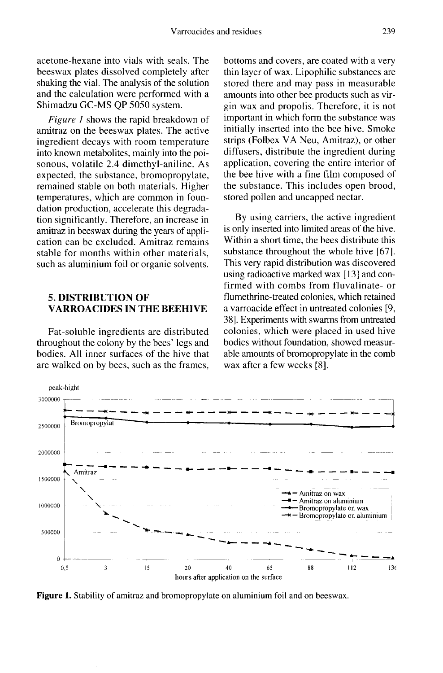acetone-hexane into vials with seals. The beeswax plates dissolved completely after shaking the vial. The analysis of the solution and the calculation were performed with a Shimadzu GC-MS QP 5050 system.

Figure 1 shows the rapid breakdown of amitraz on the beeswax plates. The active ingredient decays with room temperature into known metabolites, mainly into the poi sonous, volatile 2.4 dimethyl-aniline. As expected, the substance, bromopropylate, remained stable on both materials. Higher temperatures, which are common in foundation production, accelerate this degradation significantly. Therefore, an increase in amitraz in beeswax during the years of application can be excluded. Amitraz remains stable for months within other materials, such as aluminium foil or organic solvents.

## 5. DISTRIBUTION OF VARROACIDES IN THE BEEHIVE

Fat-soluble ingredients are distributed throughout the colony by the bees' legs and bodies. All inner surfaces of the hive that are walked on by bees, such as the frames, bottoms and covers, are coated with a very thin layer of wax. Lipophilic substances are stored there and may pass in measurable amounts into other bee products such as virgin wax and propolis. Therefore, it is not important in which form the substance was initially inserted into the bee hive. Smoke strips (Folbex VA Neu, Amitraz), or other diffusers, distribute the ingredient during application, covering the entire interior of the bee hive with a fine film composed of the substance. This includes open brood, stored pollen and uncapped nectar.

By using carriers, the active ingredient is only inserted into limited areas of the hive. Within a short time, the bees distribute this substance throughout the whole hive [67]. This very rapid distribution was discovered using radioactive marked wax [13] and confirmed with combs from fluvalinate- or flumethrine-treated colonies, which retained a varroacide effect in untreated colonies [9, 38]. Experiments with swarms from untreated colonies, which were placed in used hive bodies without foundation, showed measurable amounts of bromopropylate in the comb wax after a few weeks [8].



**Figure 1.** Stability of amitraz and bromopropylate on aluminium foil and on beeswax.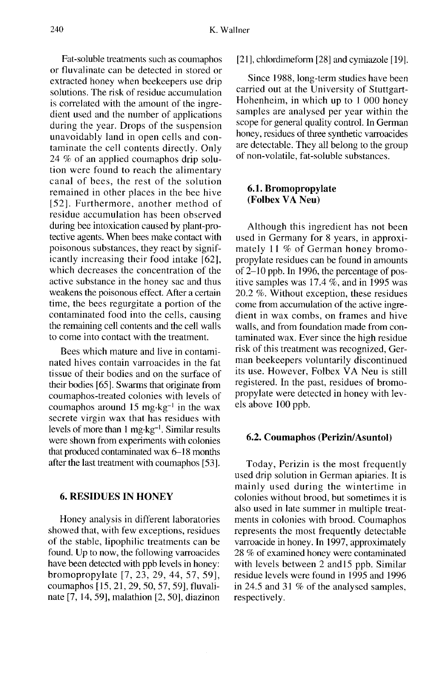Fat-soluble treatments such as coumaphos or fluvalinate can be detected in stored or extracted honey when beekeepers use drip solutions. The risk of residue accumulation is correlated with the amount of the ingredient used and the number of applications during the year. Drops of the suspension unavoidably land in open cells and contaminate the cell contents directly. Only 24 % of an applied coumaphos drip solution were found to reach the alimentary canal of bees, the rest of the solution remained in other places in the bee hive [52]. Furthermore, another method of residue accumulation has been observed during bee intoxication caused by plant-protective agents. When bees make contact with poisonous substances, they react by significantly increasing their food intake [62], which decreases the concentration of the active substance in the honey sac and thus weakens the poisonous effect. After a certain time, the bees regurgitate a portion of the contaminated food into the cells, causing the remaining cell contents and the cell walls to come into contact with the treatment.

Bees which mature and live in contaminated hives contain varroacides in the fat tissue of their bodies and on the surface of their bodies [65]. Swarms that originate from coumaphos-treated colonies with levels of coumaphos around 15 mg·kg<sup>-1</sup> in the wax secrete virgin wax that has residues with levels of more than  $1 \text{ mg} \cdot \text{kg}^{-1}$ . Similar results were shown from experiments with colonies that produced contaminated wax 6-18 months after the last treatment with coumaphos [53].

## 6. RESIDUES IN HONEY

Honey analysis in different laboratories showed that, with few exceptions, residues of the stable, lipophilic treatments can be found. Up to now, the following varroacides have been detected with ppb levels in honey: bromopropylate [7, 23, 29, 44, 57, 59], coumaphos [15, 21, 29, 50, 57, 59], fluvalinate [7, 14, 59], malathion [2, 50], diazinon

#### [21], chlordimeform [28] and cymiazole [19].

Since 1988, long-term studies have been carried out at the University of Stuttgart-Hohenheim, in which up to 1 000 honey samples are analysed per year within the scope for general quality control. In German honey, residues of three synthetic varroacides are detectable. They all belong to the group of non-volatile, fat-soluble substances.

## 6.1. Bromopropylate (Folbex VA Neu)

Although this ingredient has not been used in Germany for 8 years, in approximately 11 % of German honey bromopropylate residues can be found in amounts of 2-10 ppb. In 1996, the percentage of positive samples was 17.4 %, and in 1995 was 20.2 %. Without exception, these residues come from accumulation of the active ingredient in wax combs, on frames and hive walls, and from foundation made from contaminated wax. Ever since the high residue risk of this treatment was recognized, German beekeepers voluntarily discontinued its use. However, Folbex VA Neu is still registered. In the past, residues of bromopropylate were detected in honey with levels above 100 ppb.

#### 6.2. Coumaphos (Perizin/Asuntol)

Today, Perizin is the most frequently used drip solution in German apiaries. It is mainly used during the wintertime in colonies without brood, but sometimes it is also used in late summer in multiple treatments in colonies with brood. Coumaphos represents the most frequently detectable varroacide in honey. In 1997, approximately 28 % of examined honey were contaminated with levels between 2 and 15 ppb. Similar residue levels were found in 1995 and 1996 in 24.5 and 31 % of the analysed samples, respectively.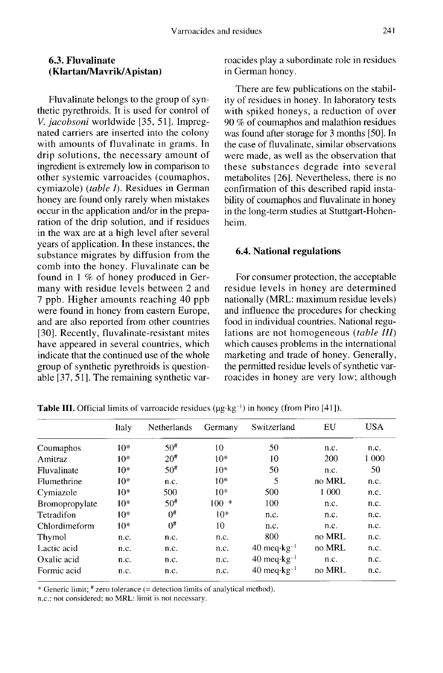## 6.3. Fluvalinate (Klartan/Mavrik/Apistan)

Fluvalinate belongs to the group of synthetic pyrethroids. It is used for control of V. jacobsoni worldwide [35, 51]. Impregnated carriers are inserted into the colony with amounts of fluvalinate in grams. In drip solutions, the necessary amount of ingredient is extremely low in comparison to other systemic varroacides (coumaphos, cymiazole) (table I). Residues in German honey are found only rarely when mistakes occur in the application and/or in the preparation of the drip solution, and if residues in the wax are at a high level after several years of application. In these instances, the substance migrates by diffusion from the comb into the honey. Fluvalinate can be found in 1 % of honey produced in Germany with residue levels between 2 and 7 ppb. Higher amounts reaching 40 ppb were found in honey from eastern Europe, and are also reported from other countries [30]. Recently, fluvalinate-resistant mites have appeared in several countries, which indicate that the continued use of the whole group of synthetic pyrethroids is questionable [37, 51]. The remaining synthetic varroacides play a subordinate role in residues in German honey.

There are few publications on the stability of residues in honey. In laboratory tests with spiked honeys, a reduction of over 90 % of coumaphos and malathion residues was found after storage for 3 months [50]. In the case of fluvalinate, similar observations were made, as well as the observation that these substances degrade into several metabolites [26]. Nevertheless, there is no confirmation of this described rapid instability of coumaphos and fluvalinate in honey in the long-term studies at Stuttgart-Hohenheim.

#### 6.4. National regulations

For consumer protection, the acceptable residue levels in honey are determined nationally (MRL: maximum residue levels) and influence the procedures for checking food in individual countries. National regulations are not homogeneous (table III) which causes problems in the international marketing and trade of honey. Generally, the permitted residue levels of synthetic varroacides in honey are very low; although

|                | Italy | <b>Netherlands</b> | Germany | Switzerland              | EU     | <b>USA</b> |
|----------------|-------|--------------------|---------|--------------------------|--------|------------|
| Coumaphos      | $10*$ | $50^{\#}$          | 10      | 50                       | n.c.   | n.c.       |
| Amitraz        | $10*$ | $20^{#}$           | $10*$   | 10                       | 200    | 1 000      |
| Fluvalinate    | $10*$ | $50^{\#}$          | $10*$   | 50                       | n.c.   | 50         |
| Flumethrine    | $10*$ | n.c.               | $10*$   | 5                        | no MRL | n.c.       |
| Cymiazole      | $10*$ | 500                | $10*$   | 500                      | 1 000  | n.c.       |
| Bromopropylate | $10*$ | $50^{\#}$          | $100 *$ | 100                      | n.c.   | n.c.       |
| Tetradifon     | $10*$ | $0^{\sharp}$       | $10*$   | n.c.                     | n.c.   | n.c.       |
| Chlordimeform  | $10*$ | 0#                 | 10      | n.c.                     | n.c.   | n.c.       |
| Thymol         | n.c.  | n.c.               | n.c.    | 800                      | no MRL | n.c.       |
| Lactic acid    | n.c.  | n.c.               | n.c.    | $40 \text{ meq·kg}^{-1}$ | no MRL | n.c.       |
| Oxalic acid    | n.c.  | n.c.               | n.c.    | $40 \text{ meq·kg}^{-1}$ | n.c.   | n.c.       |
| Formic acid    | n.c.  | n.c.               | n.c.    | $40 \text{ meq·kg}^{-1}$ | no MRL | n.c.       |
|                |       |                    |         |                          |        |            |

**Table III.** Official limits of varroacide residues ( $\mu$ g·kg<sup>-1</sup>) in honey (from Piro [41]).

\* Generic limit; # zero tolerance (= detection limits of analytical method).

n.c.: not considered; no MRL: limit is not necessary.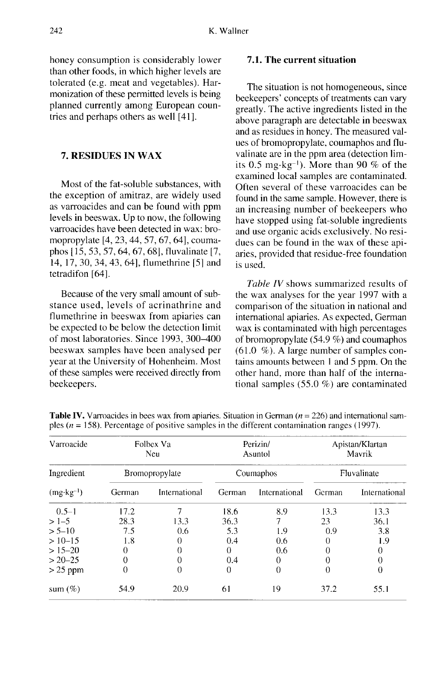honey consumption is considerably lower than other foods, in which higher levels are tolerated (e.g. meat and vegetables). Harmonization of these permitted levels is being planned currently among European countries and perhaps others as well [41].

## 7. RESIDUES IN WAX

Most of the fat-soluble substances, with the exception of amitraz, are widely used as varroacides and can be found with ppm levels in beeswax. Up to now, the following varroacides have been detected in wax: bromopropylate [4, 23, 44, 57, 67, 64], coumaphos [15, 53, 57, 64, 67, 68], fluvalinate [7, 14, 17, 30, 34, 43, 64], flumethrine [5] and tetradifon [64].

Because of the very small amount of substance used, levels of acrinathrine and flumethrine in beeswax from apiaries can be expected to be below the detection limit of most laboratories. Since 1993, 300-400 beeswax samples have been analysed per year at the University of Hohenheim. Most of these samples were received directly from beekeepers.

## 7.1. The current situation

The situation is not homogeneous, since beekeepers' concepts of treatments can vary greatly. The active ingredients listed in the above paragraph are detectable in beeswax and as residues in honey. The measured values of bromopropylate, coumaphos and fluvalinate are in the ppm area (detection lim-<br>valinate are in the ppm area (detection lim-<br>its 0.5 mg·kg<sup>-1</sup>). More than 90 % of the<br>examined local samples are contaminated examined local samples are contaminated. Often several of these varroacides can be found in the same sample. However, there is an increasing number of beekeepers who have stopped using fat-soluble ingredients and use organic acids exclusively. No residues can be found in the wax of these apiaries, provided that residue-free foundation is used.

Table IV shows summarized results of the wax analyses for the year 1997 with a comparison of the situation in national and international apiaries. As expected, German wax is contaminated with high percentages of bromopropylate (54.9 %) and coumaphos (61.0 %). A large number of samples contains amounts between 1 and 5 ppm. On the other hand, more than half of the international samples (55.0 %) are contaminated

| Varroacide                         | Folbex Va<br>Neu<br>Bromopropylate |               | Perizin/<br>Asuntol<br>Coumaphos |               | Apistan/Klartan<br>Mavrik<br>Fluvalinate |               |
|------------------------------------|------------------------------------|---------------|----------------------------------|---------------|------------------------------------------|---------------|
| Ingredient<br>$(mg \cdot kg^{-1})$ |                                    |               |                                  |               |                                          |               |
|                                    | German                             | International | German                           | International | German                                   | International |
| $0.5 - 1$                          | 17.2                               |               | 18.6                             | 8.9           | 13.3                                     | 13.3          |
| $>1-5$                             | 28.3                               | 13.3          | 36.3                             | 7             | 23                                       | 36.1          |
| $> 5 - 10$                         | 7.5                                | 0.6           | 5.3                              | 1.9           | 0.9                                      | 3.8           |
| $>10-15$                           | 1.8                                | 0             | 0.4                              | 0.6           | 0                                        | 1.9           |
| $> 15 - 20$                        | 0                                  | 0             | 0                                | 0.6           | 0                                        | 0             |
| $> 20 - 25$                        | 0                                  |               | 0.4                              | 0             | 0                                        | 0             |
| $>25$ ppm                          | 0                                  | $\Omega$      | 0                                | 0             | 0                                        | 0             |
| sum $(\%)$                         | 54.9                               | 20.9          | 61                               | 19            | 37.2                                     | 55.1          |

**Table IV.** Varroacides in bees wax from apiaries. Situation in German  $(n = 226)$  and international samples ( $n = 158$ ). Percentage of positive samples in the different contamination ranges (1997).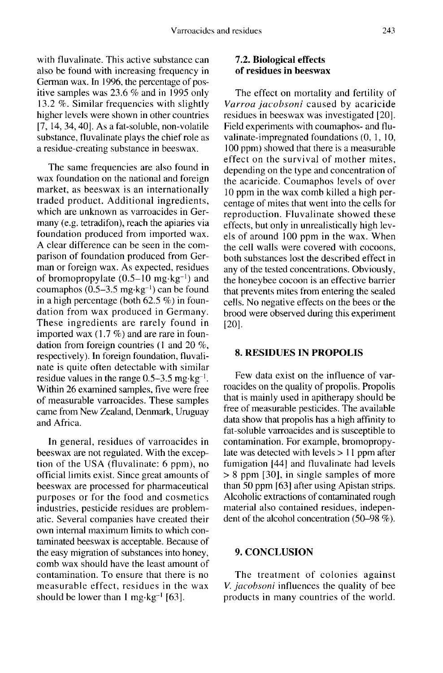with fluvalinate. This active substance can also be found with increasing frequency in German wax. In 1996, the percentage of positive samples was 23.6 % and in 1995 only 13.2 %. Similar frequencies with slightly higher levels were shown in other countries [7, 14, 34, 40]. As a fat-soluble, non-volatile substance, fluvalinate plays the chief role as a residue-creating substance in beeswax.

The same frequencies are also found in wax foundation on the national and foreign market, as beeswax is an internationally traded product. Additional ingredients, which are unknown as varroacides in Germany (e.g. tetradifon), reach the apiaries via foundation produced from imported wax. A clear difference can be seen in the comparison of foundation produced from German or foreign wax. As expected, residues A clear difference can be seen in the comparison of foundation produced from German or foreign wax. As expected, residues of bromopropylate  $(0.5-10 \text{ mg} \cdot \text{kg}^{-1})$  and coumaphos  $(0.5-3.5 \text{ mg} \cdot \text{kg}^{-1})$  can be found parison of foundation produced from German or foreign wax. As expected, residues<br>of bromopropylate  $(0.5-10 \text{ mg} \cdot \text{kg}^{-1})$  and<br>coumaphos  $(0.5-3.5 \text{ mg} \cdot \text{kg}^{-1})$  can be found<br>in a high percentage (both 62.5 %) in founin a high percentage (both 62.5 %) in foundation from wax produced in Germany. These ingredients are rarely found in imported wax (1.7 %) and are rare in foundation from foreign countries (1 and 20 %, respectively). In foreign foundation, fluvalinate is quite often detectable with similar residue values Within 26 examined reign countries (1 and 20 %,<br>n foreign foundation, fluvali-<br>ften detectable with similar<br>in the range 0.5–3.5 mg·kg<sup>-1</sup>.<br>nined samples, five were free of measurable varroacides. These samples came from New Zealand, Denmark, Uruguay and Africa.

In general, residues of varroacides in beeswax are not regulated. With the exception of the USA (fluvalinate: 6 ppm), no official limits exist. Since great amounts of beeswax are processed for pharmaceutical purposes or for the food and cosmetics industries, pesticide residues are problematic. Several companies have created their own internal maximum limits to which contaminated beeswax is acceptable. Because of the easy migration of substances into honey, comb wax should have the least amount of contamination. To ensure that there is no measurable effect, residues in the wax should be lower than  $1 \text{ mg} \cdot \text{kg}^{-1}$  [63].

## 7.2. Biological effects of residues in beeswax

The effect on mortality and fertility of Varroa jacobsoni caused by acaricide residues in beeswax was investigated [20]. Field experiments with coumaphos- and fluvalinate-impregnated foundations (0, 1, 10, 100 ppm) showed that there is a measurable effect on the survival of mother mites, depending on the type and concentration of the acaricide. Coumaphos levels of over 10 ppm in the wax comb killed a high percentage of mites that went into the cells for reproduction. Fluvalinate showed these effects, but only in unrealistically high levels of around 100 ppm in the wax. When the cell walls were covered with cocoons, both substances lost the described effect in any of the tested concentrations. Obviously, the honeybee cocoon is an effective barrier that prevents mites from entering the sealed cells. No negative effects on the bees or the brood were observed during this experiment [20].

#### 8. RESIDUES IN PROPOLIS

Few data exist on the influence of varroacides on the quality of propolis. Propolis that is mainly used in apitherapy should be free of measurable pesticides. The available data show that propolis has a high affinity to fat-soluble varroacides and is susceptible to contamination. For example, bromopropylate was detected with levels > 11 ppm after fumigation [44] and fluvalinate had levels > 8 ppm [30], in single samples of more than 50 ppm [63] after using Apistan strips. Alcoholic extractions of contaminated rough material also contained residues, independent of the alcohol concentration (50-98 %).

#### 9. CONCLUSION

The treatment of colonies against V. *jacobsoni* influences the quality of bee products in many countries of the world.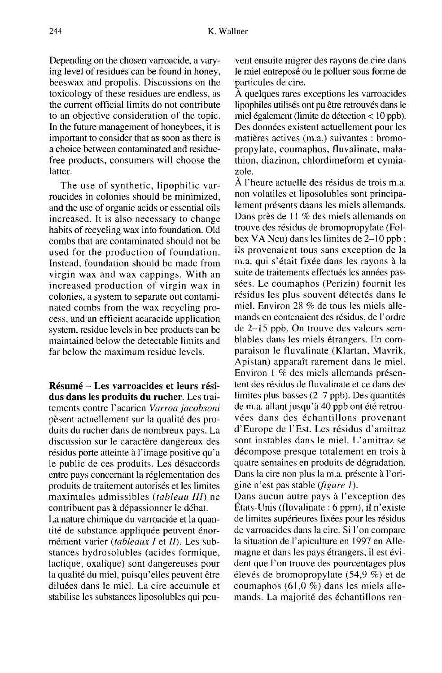Depending on the chosen varroacide, a varying level of residues can be found in honey, beeswax and propolis. Discussions on the toxicology of these residues are endless, as the current official limits do not contribute to an objective consideration of the topic. In the future management of honeybees, it is important to consider that as soon as there is a choice between contaminated and residuefree products, consumers will choose the latter.

The use of synthetic, lipophilic varroacides in colonies should be minimized, and the use of organic acids or essential oils increased. It is also necessary to change habits of recycling wax into foundation. Old combs that are contaminated should not be used for the production of foundation. Instead, foundation should be made from virgin wax and wax cappings. With an increased production of virgin wax in colonies, a system to separate out contaminated combs from the wax recycling process, and an efficient acaracide application system, residue levels in bee products can be maintained below the detectable limits and far below the maximum residue levels.

Résumé - Les varroacides et leurs résidus dans les produits du rucher. Les traitements contre l'acarien Varroa jacobsoni pèsent actuellement sur la qualité des produits du rucher dans de nombreux pays. La discussion sur le caractère dangereux des résidus porte atteinte à l'image positive qu'a le public de ces produits. Les désaccords entre pays concernant la réglementation des produits de traitement autorisés et les limites maximales admissibles (tableau III) ne contribuent pas à dépassionner le débat.

La nature chimique du varroacide et la quantité de substance appliquée peuvent énormément varier (tableaux I et II). Les substances hydrosolubles (acides formique, lactique, oxalique) sont dangereuses pour la qualité du miel, puisqu'elles peuvent être diluées dans le miel. La cire accumule et stabilise les substances liposolubles qui peuvent ensuite migrer des rayons de cire dans le miel entreposé ou le polluer sous forme de particules de cire.

A quelques rares exceptions les varroacides lipophiles utilisés ont pu être retrouvés dans le miel également (limite de détection < 10 ppb). Des données existent actuellement pour les matières actives (m.a.) suivantes : bromopropylate, coumaphos, fluvalinate, malathion, diazinon, chlordimeform et cymiazole.

À l'heure actuelle des résidus de trois m.a. non volatiles et liposolubles sont principalement présents daans les miels allemands. Dans près de 11 % des miels allemands on trouve des résidus de bromopropylate (Folbex VA Neu) dans les limites de 2-10 ppb ; ils provenaient tous sans exception de la m.a. qui s'était fixée dans les rayons à la suite de traitements effectués les années passées. Le coumaphos (Perizin) fournit les résidus les plus souvent détectés dans le miel. Environ 28 % de tous les miels allemands en contenaient des résidus, de l'ordre de 2-15 ppb. On trouve des valeurs semblables dans les miels étrangers. En comparaison le fluvalinate (Klartan, Mavrik, Apistan) apparaît rarement dans le miel. Environ 1 % des miels allemands présen tent des résidus de fluvalinate et ce dans des limites plus basses (2-7 ppb). Des quantités de m.a. allant jusqu'à 40 ppb ont été retrouvées dans des échantillons provenant d'Europe de l'Est. Les résidus d'amitraz sont instables dans le miel. L'amitraz se décompose presque totalement en trois à quatre semaines en produits de dégradation. Dans la cire non plus la m.a. présente à l'origine n'est pas stable (figure 1).

Dans aucun autre pays à l'exception des États-Unis (fluvalinate : 6 ppm), il n'existe de limites supérieures fixées pour les résidus de varroacides dans la cire. Si l'on compare la situation de l'apiculture en 1997 en Allemagne et dans les pays étrangers, il est évident que l'on trouve des pourcentages plus élevés de bromopropylate (54,9 %) et de coumaphos (61,0 %) dans les miels allemands. La majorité des échantillons ren-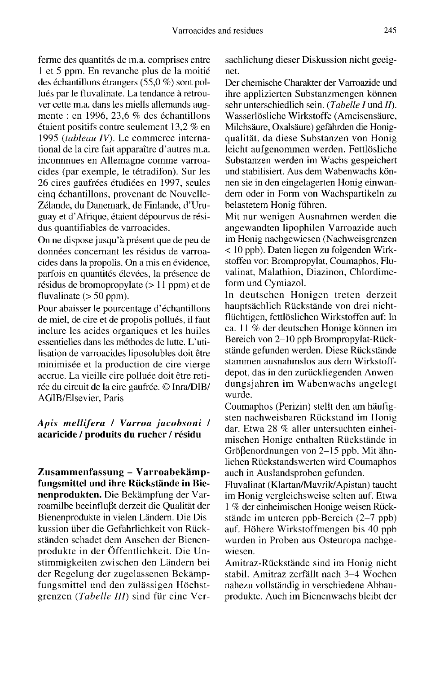ferme des quantités de m.a. comprises entre 1 et 5 ppm. En revanche plus de la moitié des échantillons étrangers (55,0 %) sont pollués par le fluvalinate. La tendance à retrouver cette m.a. dans les miells allemands augmente : en 1996, 23,6 % des échantillons étaient positifs contre seulement 13,2 % en 1995 (tableau IV). Le commerce international de la cire fait apparaître d'autres m.a. inconnnues en Allemagne comme varroacides (par exemple, le tétradifon). Sur les 26 cires gaufrées étudiées en 1997, seules cinq échantillons, provenant de Nouvelle-Zélande, du Danemark, de Finlande, d'Uruguay et d'Afrique, étaient dépourvus de résidus quantifiables de varroacides.

On ne dispose jusqu'à présent que de peu de données concernant les résidus de varroacides dans la propolis. On a mis en évidence, parfois en quantités élevées, la présence de résidus de bromopropylate (> 11 ppm) et de fluvalinate  $(> 50$  ppm).

Pour abaisser le pourcentage d'échantillons de miel, de cire et de propolis pollués, il faut inclure les acides organiques et les huiles essentielles dans les méthodes de lutte. L'utilisation de varroacides liposolubles doit être minimisée et la production de cire vierge accrue. La vieille cire polluée doit être retirée du circuit de la cire gaufrée. © Inra/DIB/ AGIB/Elsevier, Paris

## Apis mellifera / Varroa jacobsoni / acaricide / produits du rucher / résidu

Zusammenfassung - Varroabekämpfungsmittel und ihre Rückstände in Bienenprodukten. Die Bekämpfung der Varroamilbe beeinflußt derzeit die Qualität der Bienenprodukte in vielen Ländern. Die Diskussion über die Gefährlichkeit von Rückständen schadet dem Ansehen der Bienenprodukte in der Öffentlichkeit. Die Unstimmigkeiten zwischen den Ländern bei der Regelung der zugelassenen Bekämpfungsmittel und den zulässigen Höchstgrenzen (Tabelle III) sind für eine Versachlichung dieser Diskussion nicht geeig net.

Der chemische Charakter der Varroazide und ihre applizierten Substanzmengen können sehr unterschiedlich sein. (Tabelle I und II). Wasserlösliche Wirkstoffe (Ameisensäure, Milchsäure, Oxalsäure) gefährden die Honigqualität, da diese Substanzen von Honig leicht aufgenommen werden. Fettlösliche Substanzen werden im Wachs gespeichert und stabilisiert. Aus dem Wabenwachs können sie in den eingelagerten Honig einwandern oder in Form von Wachspartikeln zu belastetem Honig führen.

Mit nur wenigen Ausnahmen werden die angewandten lipophilen Varroazide auch im Honig nachgewiesen (Nachweisgrenzen < 10 ppb). Daten liegen zu folgenden Wirkstoffen vor: Brompropylat, Coumaphos, Fluvalinat, Malathion, Diazinon, Chlordimeform und Cymiazol.

In deutschen Honigen treten derzeit hauptsächlich Rückstände von drei nichtflüchtigen, fettlöslichen Wirkstoffen auf: In ca. 11 % der deutschen Honige können im Bereich von 2-10 ppb Brompropylat-Rückstände gefunden werden. Diese Rückstände stammen ausnahmslos aus dem Wirkstoffdepot, das in den zurückliegenden Anwendungsjahren im Wabenwachs angelegt wurde.

Coumaphos (Perizin) stellt den am häufig sten nachweisbaren Rückstand im Honig dar. Etwa 28 % aller untersuchten einheimischen Honige enthalten Rückstände in Größenordnungen von 2-15 ppb. Mit ähnlichen Rückstandswerten wird Coumaphos auch in Auslandsproben gefunden.

Fluvalinat (Klartan/Mavrik/Apistan) taucht im Honig vergleichsweise selten auf. Etwa 1 % der einheimischen Honige weisen Rückstände im unteren ppb-Bereich (2-7 ppb) auf. Höhere Wirkstoffmengen bis 40 ppb wurden in Proben aus Osteuropa nachgewiesen.

Amitraz-Rückstände sind im Honig nicht stabil. Amitraz zerfällt nach 3-4 Wochen nahezu vollständig in verschiedene Abbauprodukte. Auch im Bienenwachs bleibt der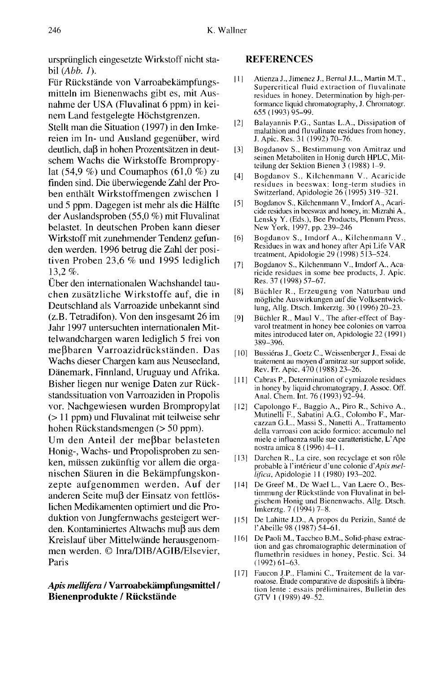ursprünglich eingesetzte Wirkstoff nicht stabil  $(Abb. 1)$ .

Für Rückstände von Varroabekämpfungsmitteln im Bienenwachs gibt es, mit Ausnahme der USA (Fluvalinat 6 ppm) in keinem Land festgelegte Höchstgrenzen.

Stellt man die Situation (1997) in den Imkereien im In- und Ausland gegenüber, wird deutlich, daß in hohen Prozentsätzen in deutschem Wachs die Wirkstoffe Brompropylat (54,9 %) und Coumaphos (61,0 %) zu finden sind. Die überwiegende Zahl der Proben enthält Wirkstoffmengen zwischen 1 und 5 ppm. Dagegen ist mehr als die Hälfte der Auslandsproben (55,0 %) mit Fluvalinat belastet. In deutschen Proben kann dieser Wirkstoff mit zunehmender Tendenz gefunden werden. 1996 betrug die Zahl der positiven Proben 23,6 % und 1995 lediglich 13,2%.

Über den internationalen Wachshandel tauchen zusätzliche Wirkstoffe auf, die in Deutschland als Varroazide unbekannt sind (z.B. Tetradifon). Von den insgesamt 26 im Jahr 1997 untersuchten internationalen Mittelwandchargen waren lediglich 5 frei von meßbaren Varroazidrückständen. Das Wachs dieser Chargen kam aus Neuseeland, Dänemark, Finnland, Uruguay und Afrika. Bisher liegen nur wenige Daten zur Rückstandssituation von Varroaziden in Propolis vor. Nachgewiesen wurden Brompropylat (> 11 ppm) und Fluvalinat mit teilweise sehr hohen Rückstandsmengen (> 50 ppm).

Um den Anteil der meßbar belasteten Honig-, Wachs- und Propolisproben zu senken, müssen zukünftig vor allem die organischen Säuren in die Bekämpfungskonzepte aufgenommen werden. Auf der anderen Seite muß der Einsatz von fettlöslichen Medikamenten optimiert und die Produktion von Jungfernwachs gesteigert werden. Kontaminiertes Altwachs muβ aus dem<br>Kreislauf über Mittelwände herausgenommen werden. © Inra/DIB/AGIB/Elsevier, Paris

## Apis mellifera / Varroabekämpfungsmittel / Bienenprodukte / Rückstände

## REFERENCES

- [1] Atienza J., Jimenez J., Bernal J.L., Martin M.T., Supercritical fluid extraction of fluvalinate residues in honey. Determination by high-per formance liquid chromatography, J. Chromatogr. 655 (1993) 95-99.
- [2] Balayannis P.G., Santas L.A., Dissipation of malathion and fluvalinate residues from honey, J. Apic. Res. 31 (1992) 70-76.
- [3] Bogdanov S., Bestimmung von Amitraz und seinen Metaboliten in Honig durch HPLC, Mitteilung der Sektion Bienen 3 (1988) 1-9.
- [4] Bogdanov S., Kilchenmann V., Acaricide residues in beeswax: long-term studies in Switzerland, Apidologie 26 (1995) 319-321.
- [5] Bogdanov S., Kilchenmann V., Imdorf A., Acaricide residues in beeswax and honey, in: Mizrahi A., Lensky Y. (Eds.), Bee Products, Plenum Press, New York, 1997, pp. 239-246
- [6] Bogdanov S., Imdorf A., Kilchenmann V., Residues in wax and honey after Api Life VAR treatment, Apidologie 29 (1998) 513-524.
- [7] Bogdanov S., Kilchenmann V., Imdorf A., Acaricide residues in some bee products, J. Apic. Res. 37 (1998) 57-67.
- [8] Büchler R., Erzeugung von Naturbau und mögliche Auswirkungen auf die Volksentwicklung, Allg. Dtsch. Imkerztg. 30 (1996) 20-23.
- [9] Büchler R., Maul V., The after-effect of Bay varol treatment in honey bee colonies on varroa mites introduced later on, Apidologie 22 (1991) 389-396.
- [10] Bussiéras J., Goetz C., Weissenberger J., Essai de traitement au moyen d'amitraz sur support solide, Rev. Fr. Apic. 470 (1988) 23-26.
- [11] Cabras P., Determination of cymiazole residues in honey by liquid chromatograpy, J. Assoc. Off. Anal. Chem. Int. 76 (1993) 92-94.
- [12] Capolongo F., Baggio A., Piro R., Schivo A., Mutinelli F., Sabatini A.G., Colombo F., Marcazzan G.L., Massi S., Nanetti A., Trattamento della varroasi con acido formico: accumulo nel miele e influenza sulle sue caratteristiche, L'Ape nostra amica 8 (1996) 4-11.
- [13] Darchen R., La cire, son recyclage et son rôle probable à l'intérieur d'une colonie d'Apis mellifica, Apidologie 11 (1980) 193-202.
- [14] De Greef M., De Wael L., Van Laere O., Bestimmung der Rückstände von Fluvalinat in belgischem Honig und Bienenwachs, Allg. Dtsch. Imkerztg. 7 (1994) 7-8.
- [15] De Lahitte J.D., A propos du Perizin, Santé de l'Abeille 98 (1987) 54-61.
- [16] De Paoli M., Taccheo B.M., Solid-phase extraction and gas chromatographic determination of flumethrin residues in honey, Pestic. Sci. 34 (1992) 61-63.
- [17] Faucon J.P., Flamini C., Traitement de la varroatose. Étude comparative de dispositifs à libération lente : essais préliminaires, Bulletin des GTV 1 (1989) 49-52.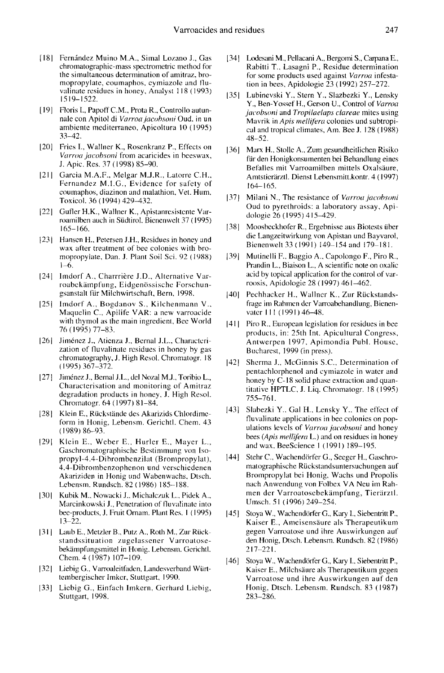- [18] Fernández Muino M.A., Simal Lozano J., Gas chromatographic-mass spectrometric method for the simultaneous determination of amitraz, bromopropylate, coumaphos, cymiazole and fluvalinate residues in honey, Analyst 118 (1993) 1519-1522.
- [19] Floris I., Papoff C.M., Prota R., Controllo autunnale con Apitol di Varroa jacobsoni Oud. in un ambiente mediterraneo, Apicoltura 10 (1995) 33-42.
- [20] Fries I., Wallner K., Rosenkranz P., Effects on Varroa jacobsoni from acaricides in beeswax, J. Apic. Res. 37 (1998) 85-90.
- [21] Garcia M.A.F., Melgar M.J.R., Latorre C.H., Fernandez M.I.G., Evidence for safety of coumaphos, diazinon and malathion, Vet. Hum. Toxicol. 36 (1994) 429-432.
- [22] Gufler H.K., Wallner K., Apistanresistente Varroamilben auch in Südtirol. Bienenwelt 37 (1995) 165-166.
- [23] Hansen H., Petersen J.H., Residues in honey and wax after treatment of bee colonies with bromopropylate, Dan. J. Plant Soil Sci. 92 (1988) 1-6.
- [24] Imdorf A., Charrrière J.D., Alternative Varroabekämpfung, Eidgenössische Forschungsanstalt für Milchwirtschaft, Bern, 1998.
- [25] Imdorf A., Bogdanov S., Kilchenmann V., Maquelin C., Apilife VAR: a new varroacide with thymol as the main ingredient, Bee World 76 (1995) 77-83.
- [26] Jiménez J., Atienza J., Bernal J.L., Characterization of fluvalinate residues in honey by gas chromatography, J. High Resol. Chromatogr. 18 (1995) 367-372.
- [27] Jiménez J., Bernal J.L., del Nozal M.J., Toribio L., Characterisation and monitoring of Amitraz degradation products in honey, J. High Resol. Chromatogr. 64 (1997) 81-84.
- [28] Klein E., Rückstände des Akarizids Chlordimeform in Honig, Lebensm. Gerichtl. Chem. 43 (1989) 86-93.
- [29] Klein E., Weber E., Hurler E., Mayer L., Gaschromatographische Bestimmung von Isopropyl-4.4-Dibrombenzilat (Brompropylat), 4.4-Dibrombenzophenon und verschiedenen Akariziden in Honig und Wabenwachs, Dtsch. Lebensm. Rundsch. 82 ( 1986) 185-188.
- [30] Kubik M., Nowacki J., Michalczuk L., Pidek A., Marcinkowski J., Penetration of fluvalinate into bee-products, J. Fruit Ornam. Plant Res. 1 (1995) 13-22.
- [31] Laub E., Metzler B., Putz A., Roth M., Zur Rückstandssituation zugelassener Varroatosebekämpfungsmittel in Honig. Lebensm. Gerichtl. Chem. 4 (1987) 107-109.
- [32] Liebig G., Varroaleitfaden, Landesverband Württembergischer Imker, Stuttgart, 1990.
- [33] Liebig G., Einfach Imkern, Gerhard Liebig, Stuttgart, 1998.
- [34] Lodesani M., Pellacani A., Bergomi S., Carpana E., Rabitti T., Lasagni P., Residue determination for some products used against Varroa infestation in bees, Apidologie 23 (1992) 257-272.
- [35] Lubinevski Y., Stern Y., Slazbezki Y., Lensky Y., Ben-Yossef H., Gerson U., Control of Varroa jacobsoni and Tropilaelaps clareae mites using Mavrik in Apis mellifera colonies und subtropi cal and tropical climates, Am. Bee J. 128 (1988) 48-52.
- [36] Marx H., Stolle A., Zum gesundheitlichen Risiko für den Honigkonsumenten bei Behandlung eines Befalles mit Varroamilben mittels Oxalsäure, Amtstierärztl. Dienst Lebensmitt.kontr. 4 ( 1997) 164-165.
- [37] Milani N., The resistance of Varroa jacobsoni Oud to pyrethroids: a laboratory assay, Apidologie 26 (1995) 415-429.
- [38] Moosbeckhofer R., Ergebnisse aus Biotests über die Langzeitwirkung von Apistan und Bayvarol, Bienenwelt 33 (1991) 149-154 and 179-181.
- [39] Mutinelli F., Baggio A., Capolongo F., Piro R., Prandin L., Biaison L., A scientific note on oxalic acid by topical application for the control of varroosis, Apidologie 28 (1997) 461-462.
- [40] Pechhacker H., Wallner K., Zur Rückstandsfrage im Rahmen dcr Varroabehandlung, Bienenvater 111 (1991) 46-48.
- [41] Piro R., European legislation for residues in bee products, in: 25th Int. Apicultural Congress, Antwerpen 1997, Apimondia Publ. House, Bucharest, 1999 (in press).
- [42] Shcrma J., McGinnis S.C., Determination of pentachlorphenol and cymiazole in water and honey by C-18 solid phase extraction and quantitative HPTLC, J. Liq. Chromatogr. 18 (1995) 755-761.
- [43] Slabezki Y., Gal H., Lensky Y., The effect of fluvalinate applications in bee colonies on pop ulations levels of Varroa jacobsoni and honey bees (Apis mellifera L.) and on residues in honey and wax, BeeScience 1 (1991) 189-195.
- [44] Stehr C., Wachendörfer G., Seeger H., Gaschromatographische Rückstandsuntersuchungen auf nach Anwendung von Folbex VA Neu im Rahmen der Varroatosebekämpfung, Tierärztl. Umsch. 51 (1996) 249-254.
- [45] Stoya W., Wachendörfer G., Kary I., Siebentritt P., Kaiser E., Ameisensäure als Therapeutikum gegen Varroatose und ihre Auswirkungen auf den Honig, Dtsch. Lebensm. Rundsch. 82 (1986) 217-221.
- [46] Stoya W., Wachendörfer G., Kary I., Siebentritt P., Kaiser E., Milchsäure als Therapeutikum gegen Varroatose und ihre Auswirkungen auf den Honig, Dtsch. Lebensm. Rundsch. 83 (1987) 283-286.